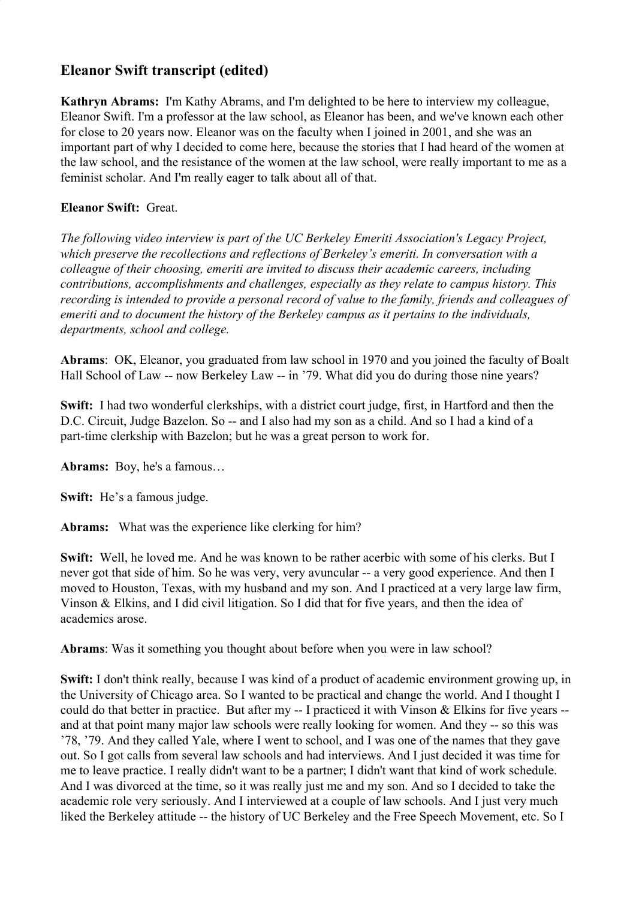# **Eleanor Swift transcript (edited)**

**Kathryn Abrams:** I'm Kathy Abrams, and I'm delighted to be here to interview my colleague, Eleanor Swift. I'm a professor at the law school, as Eleanor has been, and we've known each other for close to 20 years now. Eleanor was on the faculty when I joined in 2001, and she was an important part of why I decided to come here, because the stories that I had heard of the women at the law school, and the resistance of the women at the law school, were really important to me as a feminist scholar. And I'm really eager to talk about all of that.

## **Eleanor Swift:** Great.

*The following video interview is part of the UC Berkeley Emeriti Association's Legacy Project, which preserve the recollections and reflections of Berkeley's emeriti. In conversation with a colleague of their choosing, emeriti are invited to discuss their academic careers, including contributions, accomplishments and challenges, especially as they relate to campus history. This recording is intended to provide a personal record of value to the family, friends and colleagues of emeriti and to document the history of the Berkeley campus as it pertains to the individuals, departments, school and college.*

**Abrams**: OK, Eleanor, you graduated from law school in 1970 and you joined the faculty of Boalt Hall School of Law -- now Berkeley Law -- in '79. What did you do during those nine years?

**Swift:** I had two wonderful clerkships, with a district court judge, first, in Hartford and then the D.C. Circuit, Judge Bazelon. So -- and I also had my son as a child. And so I had a kind of a part-time clerkship with Bazelon; but he was a great person to work for.

**Abrams:** Boy, he's a famous…

**Swift:** He's a famous judge.

**Abrams:** What was the experience like clerking for him?

**Swift:** Well, he loved me. And he was known to be rather acerbic with some of his clerks. But I never got that side of him. So he was very, very avuncular -- a very good experience. And then I moved to Houston, Texas, with my husband and my son. And I practiced at a very large law firm, Vinson & Elkins, and I did civil litigation. So I did that for five years, and then the idea of academics arose.

**Abrams**: Was it something you thought about before when you were in law school?

**Swift:** I don't think really, because I was kind of a product of academic environment growing up, in the University of Chicago area. So I wanted to be practical and change the world. And I thought I could do that better in practice. But after my -- I practiced it with Vinson & Elkins for five years - and at that point many major law schools were really looking for women. And they -- so this was '78, '79. And they called Yale, where I went to school, and I was one of the names that they gave out. So I got calls from several law schools and had interviews. And I just decided it was time for me to leave practice. I really didn't want to be a partner; I didn't want that kind of work schedule. And I was divorced at the time, so it was really just me and my son. And so I decided to take the academic role very seriously. And I interviewed at a couple of law schools. And I just very much liked the Berkeley attitude -- the history of UC Berkeley and the Free Speech Movement, etc. So I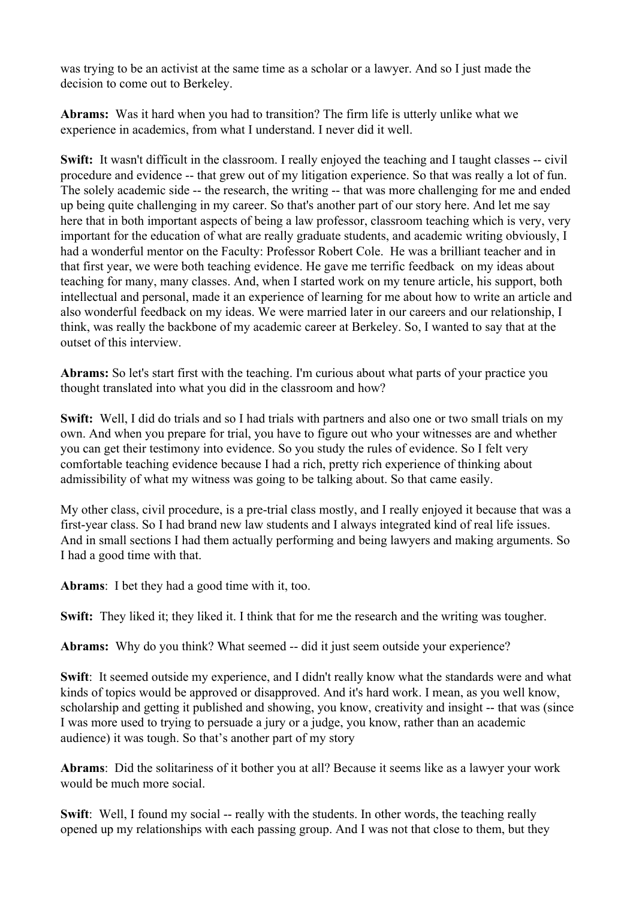was trying to be an activist at the same time as a scholar or a lawyer. And so I just made the decision to come out to Berkeley.

**Abrams:** Was it hard when you had to transition? The firm life is utterly unlike what we experience in academics, from what I understand. I never did it well.

**Swift:** It wasn't difficult in the classroom. I really enjoyed the teaching and I taught classes -- civil procedure and evidence -- that grew out of my litigation experience. So that was really a lot of fun. The solely academic side -- the research, the writing -- that was more challenging for me and ended up being quite challenging in my career. So that's another part of our story here. And let me say here that in both important aspects of being a law professor, classroom teaching which is very, very important for the education of what are really graduate students, and academic writing obviously, I had a wonderful mentor on the Faculty: Professor Robert Cole. He was a brilliant teacher and in that first year, we were both teaching evidence. He gave me terrific feedback on my ideas about teaching for many, many classes. And, when I started work on my tenure article, his support, both intellectual and personal, made it an experience of learning for me about how to write an article and also wonderful feedback on my ideas. We were married later in our careers and our relationship, I think, was really the backbone of my academic career at Berkeley. So, I wanted to say that at the outset of this interview.

**Abrams:** So let's start first with the teaching. I'm curious about what parts of your practice you thought translated into what you did in the classroom and how?

**Swift:** Well, I did do trials and so I had trials with partners and also one or two small trials on my own. And when you prepare for trial, you have to figure out who your witnesses are and whether you can get their testimony into evidence. So you study the rules of evidence. So I felt very comfortable teaching evidence because I had a rich, pretty rich experience of thinking about admissibility of what my witness was going to be talking about. So that came easily.

My other class, civil procedure, is a pre-trial class mostly, and I really enjoyed it because that was a first-year class. So I had brand new law students and I always integrated kind of real life issues. And in small sections I had them actually performing and being lawyers and making arguments. So I had a good time with that.

**Abrams**: I bet they had a good time with it, too.

**Swift:** They liked it; they liked it. I think that for me the research and the writing was tougher.

**Abrams:** Why do you think? What seemed -- did it just seem outside your experience?

**Swift**: It seemed outside my experience, and I didn't really know what the standards were and what kinds of topics would be approved or disapproved. And it's hard work. I mean, as you well know, scholarship and getting it published and showing, you know, creativity and insight -- that was (since I was more used to trying to persuade a jury or a judge, you know, rather than an academic audience) it was tough. So that's another part of my story

**Abrams**: Did the solitariness of it bother you at all? Because it seems like as a lawyer your work would be much more social.

**Swift**: Well, I found my social -- really with the students. In other words, the teaching really opened up my relationships with each passing group. And I was not that close to them, but they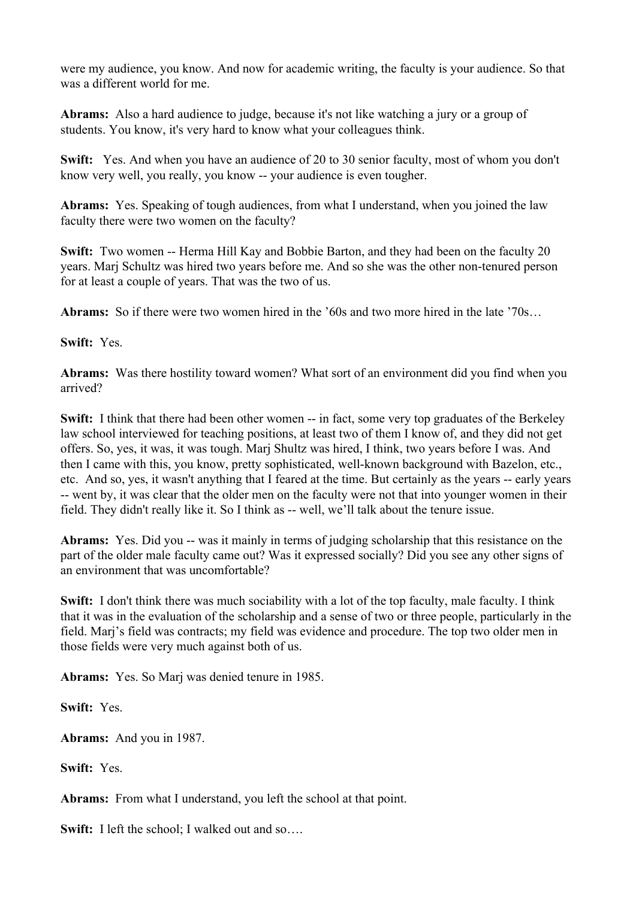were my audience, you know. And now for academic writing, the faculty is your audience. So that was a different world for me.

**Abrams:** Also a hard audience to judge, because it's not like watching a jury or a group of students. You know, it's very hard to know what your colleagues think.

**Swift:** Yes. And when you have an audience of 20 to 30 senior faculty, most of whom you don't know very well, you really, you know -- your audience is even tougher.

**Abrams:** Yes. Speaking of tough audiences, from what I understand, when you joined the law faculty there were two women on the faculty?

**Swift:** Two women -- Herma Hill Kay and Bobbie Barton, and they had been on the faculty 20 years. Marj Schultz was hired two years before me. And so she was the other non-tenured person for at least a couple of years. That was the two of us.

**Abrams:** So if there were two women hired in the '60s and two more hired in the late '70s…

**Swift:** Yes.

**Abrams:** Was there hostility toward women? What sort of an environment did you find when you arrived?

**Swift:** I think that there had been other women -- in fact, some very top graduates of the Berkeley law school interviewed for teaching positions, at least two of them I know of, and they did not get offers. So, yes, it was, it was tough. Marj Shultz was hired, I think, two years before I was. And then I came with this, you know, pretty sophisticated, well-known background with Bazelon, etc., etc. And so, yes, it wasn't anything that I feared at the time. But certainly as the years -- early years -- went by, it was clear that the older men on the faculty were not that into younger women in their field. They didn't really like it. So I think as -- well, we'll talk about the tenure issue.

**Abrams:** Yes. Did you -- was it mainly in terms of judging scholarship that this resistance on the part of the older male faculty came out? Was it expressed socially? Did you see any other signs of an environment that was uncomfortable?

**Swift:** I don't think there was much sociability with a lot of the top faculty, male faculty. I think that it was in the evaluation of the scholarship and a sense of two or three people, particularly in the field. Marj's field was contracts; my field was evidence and procedure. The top two older men in those fields were very much against both of us.

**Abrams:** Yes. So Marj was denied tenure in 1985.

**Swift:** Yes.

**Abrams:** And you in 1987.

**Swift:** Yes.

**Abrams:** From what I understand, you left the school at that point.

**Swift:** I left the school; I walked out and so....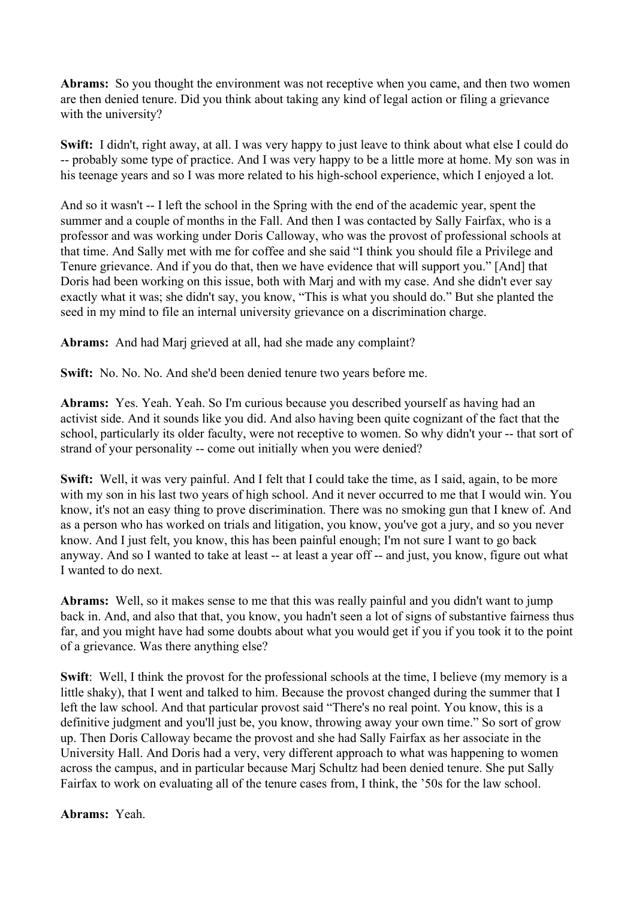**Abrams:** So you thought the environment was not receptive when you came, and then two women are then denied tenure. Did you think about taking any kind of legal action or filing a grievance with the university?

**Swift:** I didn't, right away, at all. I was very happy to just leave to think about what else I could do -- probably some type of practice. And I was very happy to be a little more at home. My son was in his teenage years and so I was more related to his high-school experience, which I enjoyed a lot.

And so it wasn't -- I left the school in the Spring with the end of the academic year, spent the summer and a couple of months in the Fall. And then I was contacted by Sally Fairfax, who is a professor and was working under Doris Calloway, who was the provost of professional schools at that time. And Sally met with me for coffee and she said "I think you should file a Privilege and Tenure grievance. And if you do that, then we have evidence that will support you." [And] that Doris had been working on this issue, both with Marj and with my case. And she didn't ever say exactly what it was; she didn't say, you know, "This is what you should do." But she planted the seed in my mind to file an internal university grievance on a discrimination charge.

**Abrams:** And had Marj grieved at all, had she made any complaint?

**Swift:** No. No. No. And she'd been denied tenure two years before me.

**Abrams:** Yes. Yeah. Yeah. So I'm curious because you described yourself as having had an activist side. And it sounds like you did. And also having been quite cognizant of the fact that the school, particularly its older faculty, were not receptive to women. So why didn't your -- that sort of strand of your personality -- come out initially when you were denied?

**Swift:** Well, it was very painful. And I felt that I could take the time, as I said, again, to be more with my son in his last two years of high school. And it never occurred to me that I would win. You know, it's not an easy thing to prove discrimination. There was no smoking gun that I knew of. And as a person who has worked on trials and litigation, you know, you've got a jury, and so you never know. And I just felt, you know, this has been painful enough; I'm not sure I want to go back anyway. And so I wanted to take at least -- at least a year off -- and just, you know, figure out what I wanted to do next.

**Abrams:** Well, so it makes sense to me that this was really painful and you didn't want to jump back in. And, and also that that, you know, you hadn't seen a lot of signs of substantive fairness thus far, and you might have had some doubts about what you would get if you if you took it to the point of a grievance. Was there anything else?

**Swift:** Well, I think the provost for the professional schools at the time, I believe (my memory is a little shaky), that I went and talked to him. Because the provost changed during the summer that I left the law school. And that particular provost said "There's no real point. You know, this is a definitive judgment and you'll just be, you know, throwing away your own time." So sort of grow up. Then Doris Calloway became the provost and she had Sally Fairfax as her associate in the University Hall. And Doris had a very, very different approach to what was happening to women across the campus, and in particular because Marj Schultz had been denied tenure. She put Sally Fairfax to work on evaluating all of the tenure cases from, I think, the '50s for the law school.

**Abrams:** Yeah.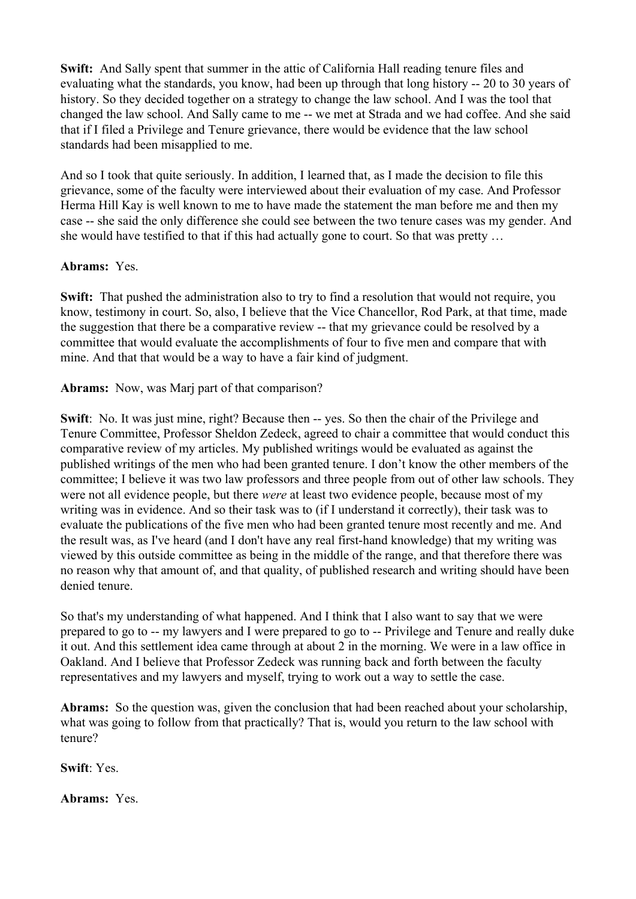**Swift:** And Sally spent that summer in the attic of California Hall reading tenure files and evaluating what the standards, you know, had been up through that long history -- 20 to 30 years of history. So they decided together on a strategy to change the law school. And I was the tool that changed the law school. And Sally came to me -- we met at Strada and we had coffee. And she said that if I filed a Privilege and Tenure grievance, there would be evidence that the law school standards had been misapplied to me.

And so I took that quite seriously. In addition, I learned that, as I made the decision to file this grievance, some of the faculty were interviewed about their evaluation of my case. And Professor Herma Hill Kay is well known to me to have made the statement the man before me and then my case -- she said the only difference she could see between the two tenure cases was my gender. And she would have testified to that if this had actually gone to court. So that was pretty …

## **Abrams:** Yes.

**Swift:** That pushed the administration also to try to find a resolution that would not require, you know, testimony in court. So, also, I believe that the Vice Chancellor, Rod Park, at that time, made the suggestion that there be a comparative review -- that my grievance could be resolved by a committee that would evaluate the accomplishments of four to five men and compare that with mine. And that that would be a way to have a fair kind of judgment.

## **Abrams:** Now, was Marj part of that comparison?

**Swift**: No. It was just mine, right? Because then -- yes. So then the chair of the Privilege and Tenure Committee, Professor Sheldon Zedeck, agreed to chair a committee that would conduct this comparative review of my articles. My published writings would be evaluated as against the published writings of the men who had been granted tenure. I don't know the other members of the committee; I believe it was two law professors and three people from out of other law schools. They were not all evidence people, but there *were* at least two evidence people, because most of my writing was in evidence. And so their task was to (if I understand it correctly), their task was to evaluate the publications of the five men who had been granted tenure most recently and me. And the result was, as I've heard (and I don't have any real first-hand knowledge) that my writing was viewed by this outside committee as being in the middle of the range, and that therefore there was no reason why that amount of, and that quality, of published research and writing should have been denied tenure.

So that's my understanding of what happened. And I think that I also want to say that we were prepared to go to -- my lawyers and I were prepared to go to -- Privilege and Tenure and really duke it out. And this settlement idea came through at about 2 in the morning. We were in a law office in Oakland. And I believe that Professor Zedeck was running back and forth between the faculty representatives and my lawyers and myself, trying to work out a way to settle the case.

**Abrams:** So the question was, given the conclusion that had been reached about your scholarship, what was going to follow from that practically? That is, would you return to the law school with tenure?

**Swift**: Yes.

**Abrams:** Yes.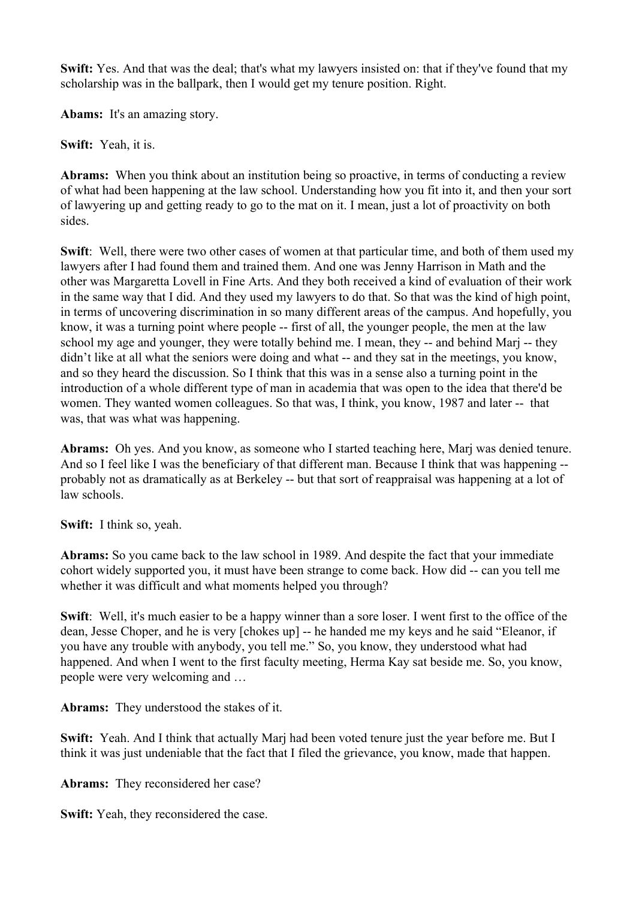**Swift:** Yes. And that was the deal; that's what my lawyers insisted on: that if they've found that my scholarship was in the ballpark, then I would get my tenure position. Right.

**Abams:** It's an amazing story.

**Swift:** Yeah, it is.

**Abrams:** When you think about an institution being so proactive, in terms of conducting a review of what had been happening at the law school. Understanding how you fit into it, and then your sort of lawyering up and getting ready to go to the mat on it. I mean, just a lot of proactivity on both sides.

**Swift**: Well, there were two other cases of women at that particular time, and both of them used my lawyers after I had found them and trained them. And one was Jenny Harrison in Math and the other was Margaretta Lovell in Fine Arts. And they both received a kind of evaluation of their work in the same way that I did. And they used my lawyers to do that. So that was the kind of high point, in terms of uncovering discrimination in so many different areas of the campus. And hopefully, you know, it was a turning point where people -- first of all, the younger people, the men at the law school my age and younger, they were totally behind me. I mean, they -- and behind Marj -- they didn't like at all what the seniors were doing and what -- and they sat in the meetings, you know, and so they heard the discussion. So I think that this was in a sense also a turning point in the introduction of a whole different type of man in academia that was open to the idea that there'd be women. They wanted women colleagues. So that was, I think, you know, 1987 and later -- that was, that was what was happening.

**Abrams:** Oh yes. And you know, as someone who I started teaching here, Marj was denied tenure. And so I feel like I was the beneficiary of that different man. Because I think that was happening - probably not as dramatically as at Berkeley -- but that sort of reappraisal was happening at a lot of law schools.

**Swift:** I think so, yeah.

**Abrams:** So you came back to the law school in 1989. And despite the fact that your immediate cohort widely supported you, it must have been strange to come back. How did -- can you tell me whether it was difficult and what moments helped you through?

**Swift**: Well, it's much easier to be a happy winner than a sore loser. I went first to the office of the dean, Jesse Choper, and he is very [chokes up] -- he handed me my keys and he said "Eleanor, if you have any trouble with anybody, you tell me." So, you know, they understood what had happened. And when I went to the first faculty meeting, Herma Kay sat beside me. So, you know, people were very welcoming and …

**Abrams:** They understood the stakes of it.

**Swift:** Yeah. And I think that actually Marj had been voted tenure just the year before me. But I think it was just undeniable that the fact that I filed the grievance, you know, made that happen.

**Abrams:** They reconsidered her case?

**Swift:** Yeah, they reconsidered the case.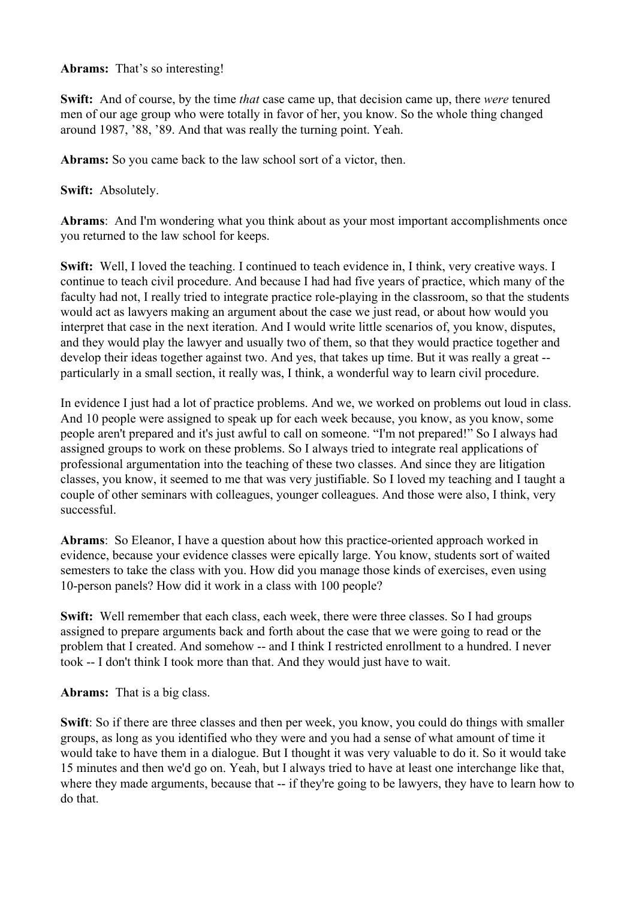#### **Abrams:** That's so interesting!

**Swift:** And of course, by the time *that* case came up, that decision came up, there *were* tenured men of our age group who were totally in favor of her, you know. So the whole thing changed around 1987, '88, '89. And that was really the turning point. Yeah.

**Abrams:** So you came back to the law school sort of a victor, then.

**Swift:** Absolutely.

**Abrams**: And I'm wondering what you think about as your most important accomplishments once you returned to the law school for keeps.

**Swift:** Well, I loved the teaching. I continued to teach evidence in, I think, very creative ways. I continue to teach civil procedure. And because I had had five years of practice, which many of the faculty had not, I really tried to integrate practice role-playing in the classroom, so that the students would act as lawyers making an argument about the case we just read, or about how would you interpret that case in the next iteration. And I would write little scenarios of, you know, disputes, and they would play the lawyer and usually two of them, so that they would practice together and develop their ideas together against two. And yes, that takes up time. But it was really a great - particularly in a small section, it really was, I think, a wonderful way to learn civil procedure.

In evidence I just had a lot of practice problems. And we, we worked on problems out loud in class. And 10 people were assigned to speak up for each week because, you know, as you know, some people aren't prepared and it's just awful to call on someone. "I'm not prepared!" So I always had assigned groups to work on these problems. So I always tried to integrate real applications of professional argumentation into the teaching of these two classes. And since they are litigation classes, you know, it seemed to me that was very justifiable. So I loved my teaching and I taught a couple of other seminars with colleagues, younger colleagues. And those were also, I think, very successful.

**Abrams**: So Eleanor, I have a question about how this practice-oriented approach worked in evidence, because your evidence classes were epically large. You know, students sort of waited semesters to take the class with you. How did you manage those kinds of exercises, even using 10-person panels? How did it work in a class with 100 people?

**Swift:** Well remember that each class, each week, there were three classes. So I had groups assigned to prepare arguments back and forth about the case that we were going to read or the problem that I created. And somehow -- and I think I restricted enrollment to a hundred. I never took -- I don't think I took more than that. And they would just have to wait.

**Abrams:** That is a big class.

**Swift**: So if there are three classes and then per week, you know, you could do things with smaller groups, as long as you identified who they were and you had a sense of what amount of time it would take to have them in a dialogue. But I thought it was very valuable to do it. So it would take 15 minutes and then we'd go on. Yeah, but I always tried to have at least one interchange like that, where they made arguments, because that -- if they're going to be lawyers, they have to learn how to do that.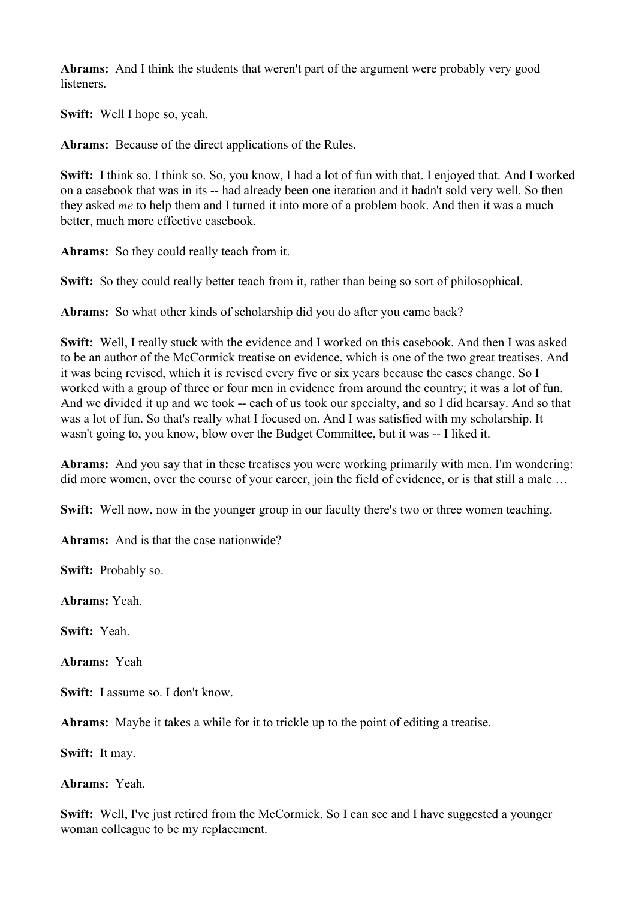**Abrams:** And I think the students that weren't part of the argument were probably very good listeners.

**Swift:** Well I hope so, yeah.

**Abrams:** Because of the direct applications of the Rules.

**Swift:** I think so. I think so. So, you know, I had a lot of fun with that. I enjoyed that. And I worked on a casebook that was in its -- had already been one iteration and it hadn't sold very well. So then they asked *me* to help them and I turned it into more of a problem book. And then it was a much better, much more effective casebook.

**Abrams:** So they could really teach from it.

**Swift:** So they could really better teach from it, rather than being so sort of philosophical.

**Abrams:** So what other kinds of scholarship did you do after you came back?

**Swift:** Well, I really stuck with the evidence and I worked on this casebook. And then I was asked to be an author of the McCormick treatise on evidence, which is one of the two great treatises. And it was being revised, which it is revised every five or six years because the cases change. So I worked with a group of three or four men in evidence from around the country; it was a lot of fun. And we divided it up and we took -- each of us took our specialty, and so I did hearsay. And so that was a lot of fun. So that's really what I focused on. And I was satisfied with my scholarship. It wasn't going to, you know, blow over the Budget Committee, but it was -- I liked it.

**Abrams:** And you say that in these treatises you were working primarily with men. I'm wondering: did more women, over the course of your career, join the field of evidence, or is that still a male …

**Swift:** Well now, now in the younger group in our faculty there's two or three women teaching.

**Abrams:** And is that the case nationwide?

**Swift:** Probably so.

**Abrams:** Yeah.

**Swift:** Yeah.

**Abrams:** Yeah

**Swift:** I assume so. I don't know.

**Abrams:** Maybe it takes a while for it to trickle up to the point of editing a treatise.

**Swift:** It may.

**Abrams:** Yeah.

**Swift:** Well, I've just retired from the McCormick. So I can see and I have suggested a younger woman colleague to be my replacement.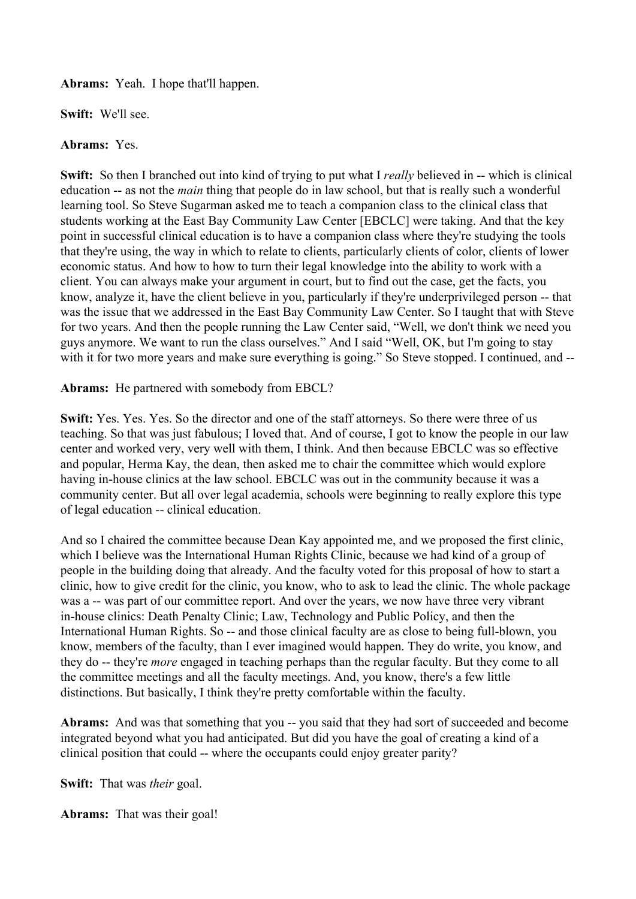**Abrams:** Yeah. I hope that'll happen.

**Swift:** We'll see.

## **Abrams:** Yes.

**Swift:** So then I branched out into kind of trying to put what I *really* believed in -- which is clinical education -- as not the *main* thing that people do in law school, but that is really such a wonderful learning tool. So Steve Sugarman asked me to teach a companion class to the clinical class that students working at the East Bay Community Law Center [EBCLC] were taking. And that the key point in successful clinical education is to have a companion class where they're studying the tools that they're using, the way in which to relate to clients, particularly clients of color, clients of lower economic status. And how to how to turn their legal knowledge into the ability to work with a client. You can always make your argument in court, but to find out the case, get the facts, you know, analyze it, have the client believe in you, particularly if they're underprivileged person -- that was the issue that we addressed in the East Bay Community Law Center. So I taught that with Steve for two years. And then the people running the Law Center said, "Well, we don't think we need you guys anymore. We want to run the class ourselves." And I said "Well, OK, but I'm going to stay with it for two more years and make sure everything is going." So Steve stopped. I continued, and --

**Abrams:** He partnered with somebody from EBCL?

**Swift:** Yes. Yes. Yes. So the director and one of the staff attorneys. So there were three of us teaching. So that was just fabulous; I loved that. And of course, I got to know the people in our law center and worked very, very well with them, I think. And then because EBCLC was so effective and popular, Herma Kay, the dean, then asked me to chair the committee which would explore having in-house clinics at the law school. EBCLC was out in the community because it was a community center. But all over legal academia, schools were beginning to really explore this type of legal education -- clinical education.

And so I chaired the committee because Dean Kay appointed me, and we proposed the first clinic, which I believe was the International Human Rights Clinic, because we had kind of a group of people in the building doing that already. And the faculty voted for this proposal of how to start a clinic, how to give credit for the clinic, you know, who to ask to lead the clinic. The whole package was a -- was part of our committee report. And over the years, we now have three very vibrant in-house clinics: Death Penalty Clinic; Law, Technology and Public Policy, and then the International Human Rights. So -- and those clinical faculty are as close to being full-blown, you know, members of the faculty, than I ever imagined would happen. They do write, you know, and they do -- they're *more* engaged in teaching perhaps than the regular faculty. But they come to all the committee meetings and all the faculty meetings. And, you know, there's a few little distinctions. But basically, I think they're pretty comfortable within the faculty.

Abrams: And was that something that you -- you said that they had sort of succeeded and become integrated beyond what you had anticipated. But did you have the goal of creating a kind of a clinical position that could -- where the occupants could enjoy greater parity?

**Swift:** That was *their* goal.

**Abrams:** That was their goal!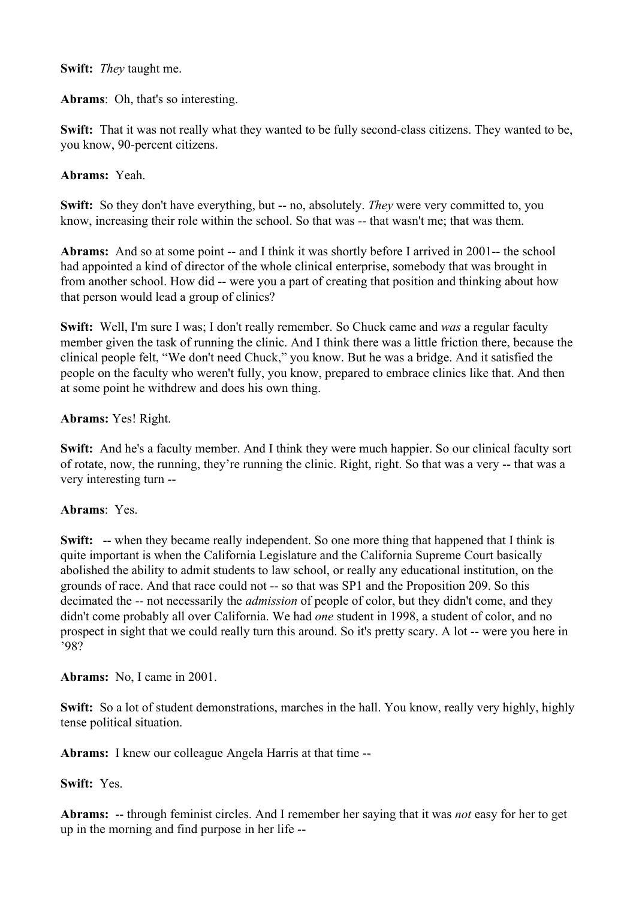### **Swift:** *They* taught me.

**Abrams**: Oh, that's so interesting.

**Swift:** That it was not really what they wanted to be fully second-class citizens. They wanted to be, you know, 90-percent citizens.

## **Abrams:** Yeah.

**Swift:** So they don't have everything, but -- no, absolutely. *They* were very committed to, you know, increasing their role within the school. So that was -- that wasn't me; that was them.

**Abrams:** And so at some point -- and I think it was shortly before I arrived in 2001-- the school had appointed a kind of director of the whole clinical enterprise, somebody that was brought in from another school. How did -- were you a part of creating that position and thinking about how that person would lead a group of clinics?

**Swift:** Well, I'm sure I was; I don't really remember. So Chuck came and *was* a regular faculty member given the task of running the clinic. And I think there was a little friction there, because the clinical people felt, "We don't need Chuck," you know. But he was a bridge. And it satisfied the people on the faculty who weren't fully, you know, prepared to embrace clinics like that. And then at some point he withdrew and does his own thing.

## **Abrams:** Yes! Right.

**Swift:** And he's a faculty member. And I think they were much happier. So our clinical faculty sort of rotate, now, the running, they're running the clinic. Right, right. So that was a very -- that was a very interesting turn --

#### **Abrams**: Yes.

**Swift:** -- when they became really independent. So one more thing that happened that I think is quite important is when the California Legislature and the California Supreme Court basically abolished the ability to admit students to law school, or really any educational institution, on the grounds of race. And that race could not -- so that was SP1 and the Proposition 209. So this decimated the -- not necessarily the *admission* of people of color, but they didn't come, and they didn't come probably all over California. We had *one* student in 1998, a student of color, and no prospect in sight that we could really turn this around. So it's pretty scary. A lot -- were you here in '98?

**Abrams:** No, I came in 2001.

**Swift:** So a lot of student demonstrations, marches in the hall. You know, really very highly, highly tense political situation.

**Abrams:** I knew our colleague Angela Harris at that time --

**Swift:** Yes.

**Abrams:** -- through feminist circles. And I remember her saying that it was *not* easy for her to get up in the morning and find purpose in her life --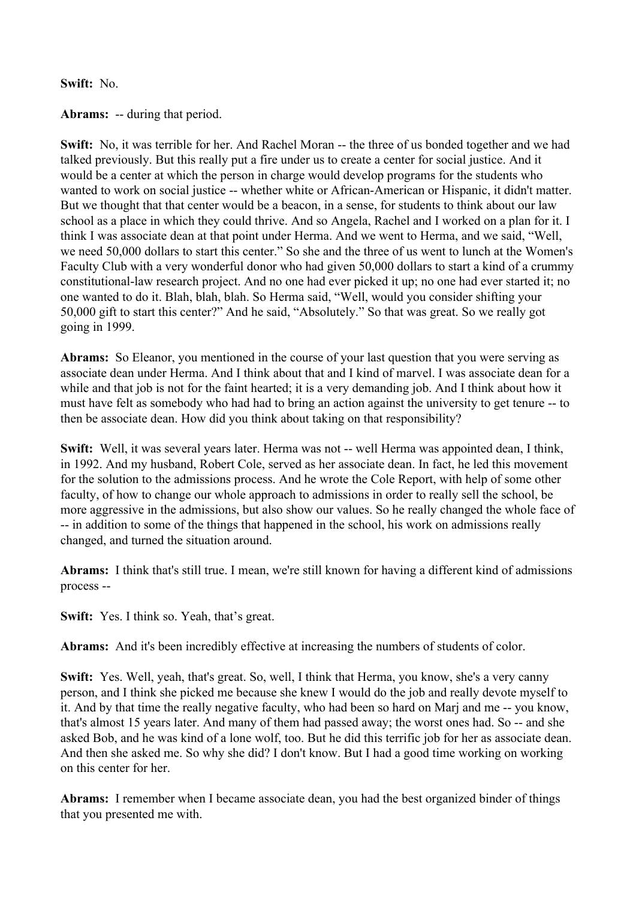#### **Swift:** No.

**Abrams:** -- during that period.

**Swift:** No, it was terrible for her. And Rachel Moran -- the three of us bonded together and we had talked previously. But this really put a fire under us to create a center for social justice. And it would be a center at which the person in charge would develop programs for the students who wanted to work on social justice -- whether white or African-American or Hispanic, it didn't matter. But we thought that that center would be a beacon, in a sense, for students to think about our law school as a place in which they could thrive. And so Angela, Rachel and I worked on a plan for it. I think I was associate dean at that point under Herma. And we went to Herma, and we said, "Well, we need 50,000 dollars to start this center." So she and the three of us went to lunch at the Women's Faculty Club with a very wonderful donor who had given 50,000 dollars to start a kind of a crummy constitutional-law research project. And no one had ever picked it up; no one had ever started it; no one wanted to do it. Blah, blah, blah. So Herma said, "Well, would you consider shifting your 50,000 gift to start this center?" And he said, "Absolutely." So that was great. So we really got going in 1999.

**Abrams:** So Eleanor, you mentioned in the course of your last question that you were serving as associate dean under Herma. And I think about that and I kind of marvel. I was associate dean for a while and that job is not for the faint hearted; it is a very demanding job. And I think about how it must have felt as somebody who had had to bring an action against the university to get tenure -- to then be associate dean. How did you think about taking on that responsibility?

**Swift:** Well, it was several years later. Herma was not -- well Herma was appointed dean, I think, in 1992. And my husband, Robert Cole, served as her associate dean. In fact, he led this movement for the solution to the admissions process. And he wrote the Cole Report, with help of some other faculty, of how to change our whole approach to admissions in order to really sell the school, be more aggressive in the admissions, but also show our values. So he really changed the whole face of -- in addition to some of the things that happened in the school, his work on admissions really changed, and turned the situation around.

**Abrams:** I think that's still true. I mean, we're still known for having a different kind of admissions process --

**Swift:** Yes. I think so. Yeah, that's great.

**Abrams:** And it's been incredibly effective at increasing the numbers of students of color.

**Swift:** Yes. Well, yeah, that's great. So, well, I think that Herma, you know, she's a very canny person, and I think she picked me because she knew I would do the job and really devote myself to it. And by that time the really negative faculty, who had been so hard on Marj and me -- you know, that's almost 15 years later. And many of them had passed away; the worst ones had. So -- and she asked Bob, and he was kind of a lone wolf, too. But he did this terrific job for her as associate dean. And then she asked me. So why she did? I don't know. But I had a good time working on working on this center for her.

**Abrams:** I remember when I became associate dean, you had the best organized binder of things that you presented me with.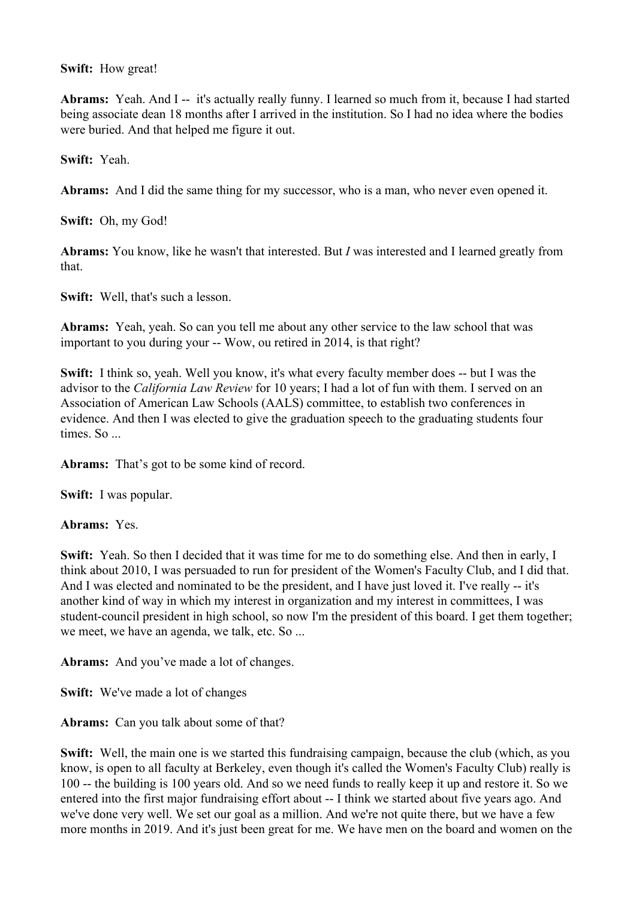## **Swift:** How great!

**Abrams:** Yeah. And I -- it's actually really funny. I learned so much from it, because I had started being associate dean 18 months after I arrived in the institution. So I had no idea where the bodies were buried. And that helped me figure it out.

**Swift:** Yeah.

**Abrams:** And I did the same thing for my successor, who is a man, who never even opened it.

**Swift:** Oh, my God!

**Abrams:** You know, like he wasn't that interested. But *I* was interested and I learned greatly from that.

**Swift:** Well, that's such a lesson.

**Abrams:** Yeah, yeah. So can you tell me about any other service to the law school that was important to you during your -- Wow, ou retired in 2014, is that right?

**Swift:** I think so, yeah. Well you know, it's what every faculty member does -- but I was the advisor to the *California Law Review* for 10 years; I had a lot of fun with them. I served on an Association of American Law Schools (AALS) committee, to establish two conferences in evidence. And then I was elected to give the graduation speech to the graduating students four times. So ...

**Abrams:** That's got to be some kind of record.

**Swift:** I was popular.

**Abrams:** Yes.

**Swift:** Yeah. So then I decided that it was time for me to do something else. And then in early, I think about 2010, I was persuaded to run for president of the Women's Faculty Club, and I did that. And I was elected and nominated to be the president, and I have just loved it. I've really -- it's another kind of way in which my interest in organization and my interest in committees, I was student-council president in high school, so now I'm the president of this board. I get them together; we meet, we have an agenda, we talk, etc. So ...

**Abrams:** And you've made a lot of changes.

**Swift:** We've made a lot of changes

**Abrams:** Can you talk about some of that?

**Swift:** Well, the main one is we started this fundraising campaign, because the club (which, as you know, is open to all faculty at Berkeley, even though it's called the Women's Faculty Club) really is 100 -- the building is 100 years old. And so we need funds to really keep it up and restore it. So we entered into the first major fundraising effort about -- I think we started about five years ago. And we've done very well. We set our goal as a million. And we're not quite there, but we have a few more months in 2019. And it's just been great for me. We have men on the board and women on the